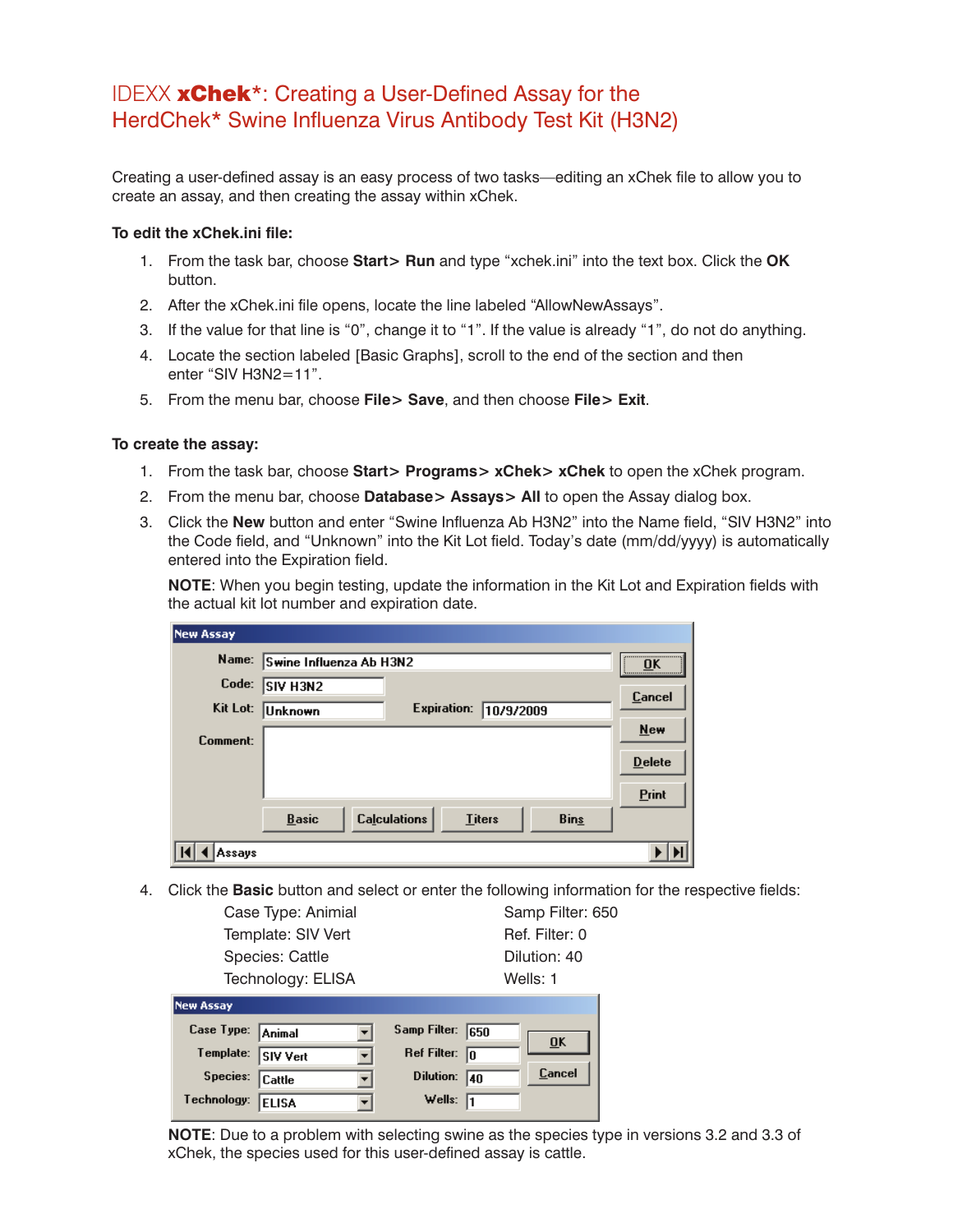## IDEXX xChek\*: Creating a User-Defined Assay for the HerdChek\* Swine Influenza Virus Antibody Test Kit (H3N2)

Creating a user-defined assay is an easy process of two tasks—editing an xChek file to allow you to create an assay, and then creating the assay within xChek.

## **To edit the xChek.ini file:**

- 1. From the task bar, choose **Start> Run** and type "xchek.ini" into the text box. Click the **OK**  button.
- 2. After the xChek.ini file opens, locate the line labeled "AllowNewAssays".
- 3. If the value for that line is "0", change it to "1". If the value is already "1", do not do anything.
- 4. Locate the section labeled [Basic Graphs], scroll to the end of the section and then enter "SIV H3N2=11".
- 5. From the menu bar, choose **File> Save**, and then choose **File> Exit**.

## **To create the assay:**

- 1. From the task bar, choose **Start> Programs> xChek> xChek** to open the xChek program.
- 2. From the menu bar, choose **Database> Assays> All** to open the Assay dialog box.
- 3. Click the **New** button and enter "Swine Influenza Ab H3N2" into the Name field, "SIV H3N2" into the Code field, and "Unknown" into the Kit Lot field. Today's date (mm/dd/yyyy) is automatically entered into the Expiration field.

**NOTE:** When you begin testing, update the information in the Kit Lot and Expiration fields with the actual kit lot number and expiration date.

| <b>New Assay</b> |                         |                     |               |             |               |
|------------------|-------------------------|---------------------|---------------|-------------|---------------|
| Name:            | Swine Influenza Ab H3N2 |                     |               |             | <br><b>OK</b> |
| Code:            | ISIV H3N2               |                     |               |             | Cancel        |
| Kit Lot:         | Unknown                 | Expiration:         | 10/9/2009     |             |               |
| Comment:         |                         |                     |               |             | New           |
|                  |                         |                     |               |             | <b>Delete</b> |
|                  |                         |                     |               |             | Print         |
|                  | <b>Basic</b>            | <b>Calculations</b> | <b>Titers</b> | <b>Bins</b> |               |
| Assays           |                         |                     |               |             |               |

4. Click the **Basic** button and select or enter the following information for the respective fields:

| Case Type: Animial           | Samp Filter: 650                  |  |  |
|------------------------------|-----------------------------------|--|--|
| Template: SIV Vert           | Ref. Filter: 0                    |  |  |
| Species: Cattle              | Dilution: 40                      |  |  |
| Technology: ELISA            | Wells: 1                          |  |  |
| <b>New Assay</b>             |                                   |  |  |
| Case Type:<br>Animal         | Samp Filter:<br>1650              |  |  |
| Template:<br><b>SIV Vert</b> | Ref Filter:<br>lo                 |  |  |
| Species:<br>Cattle           | Cancel<br><b>Dilution:</b><br>140 |  |  |
| Technology:<br><b>ELISA</b>  | Wells:                            |  |  |
|                              | $\overline{\mathbf{0}}$ K         |  |  |

**NOTE**: Due to a problem with selecting swine as the species type in versions 3.2 and 3.3 of xChek, the species used for this user-defined assay is cattle.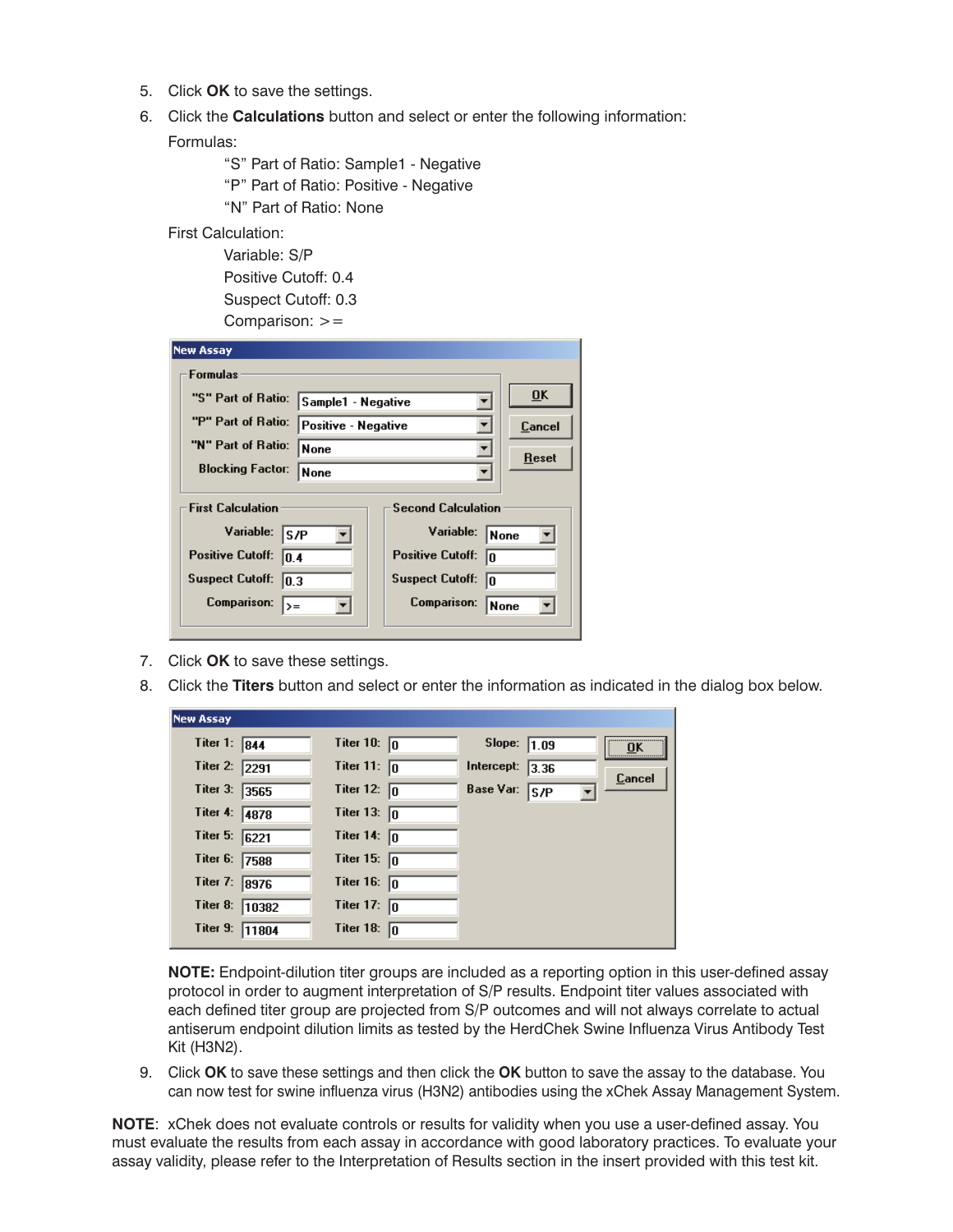- 5. Click **OK** to save the settings.
- 6. Click the **Calculations** button and select or enter the following information:

Formulas:

- "S" Part of Ratio: Sample1 Negative
- "P" Part of Ratio: Positive Negative
- "N" Part of Ratio: None
- First Calculation:

 Variable: S/P Positive Cutoff: 0.4 Suspect Cutoff: 0.3 Comparison: >=

| <b>New Assay</b>                         |                     |                               |             |  |  |
|------------------------------------------|---------------------|-------------------------------|-------------|--|--|
| <b>Formulas</b>                          |                     |                               |             |  |  |
| "S" Part of Ratio:<br>Sample1 - Negative |                     |                               | 0K          |  |  |
| "P" Part of Ratio:                       | Positive - Negative |                               | Cancel      |  |  |
| "N" Part of Ratio:                       | None                | <b>Reset</b>                  |             |  |  |
| <b>Blocking Factor:</b>                  | None                |                               |             |  |  |
|                                          |                     |                               |             |  |  |
| <b>First Calculation</b>                 |                     | <b>Second Calculation</b>     |             |  |  |
| Variable:<br>ls/P                        |                     | Variable:<br>None             |             |  |  |
| <b>Positive Cutoff:</b><br>10.4          |                     | <b>Positive Cutoff:</b><br>lo |             |  |  |
| <b>Suspect Cutoff:</b><br> 0.3           |                     | <b>Suspect Cutoff:</b><br>In  |             |  |  |
| <b>Comparison:</b><br>$\rangle =$        |                     | Comparison:                   | <b>None</b> |  |  |
|                                          |                     |                               |             |  |  |

- 7. Click **OK** to save these settings.
- 8. Click the **Titers** button and select or enter the information as indicated in the dialog box below.

| New Assay              |       |                       |               |      |        |
|------------------------|-------|-----------------------|---------------|------|--------|
| Titer 1: $\boxed{844}$ |       | Titer 10: $\boxed{0}$ | Slope:        | 1.09 | <br>OK |
| Titer 2: 2291          |       | Titer 11: $\sqrt{0}$  | Intercept:    | 3.36 | Cancel |
| Titer 3:               | 3565  | Titer 12: $\sqrt{0}$  | Base Var: S/P |      |        |
| Titer 4:               | 4878  | Titer 13: $\boxed{0}$ |               |      |        |
| Titer 5: 6221          |       | Titer 14: $\boxed{0}$ |               |      |        |
| Titer 6: 7588          |       | Titer 15: $\sqrt{0}$  |               |      |        |
| Titer 7:               | 8976  | Titer 16: $\sqrt{0}$  |               |      |        |
| Titer 8:               | 10382 | Titer 17: $\boxed{0}$ |               |      |        |
| Titer 9:               | 11804 | Titer 18: $\boxed{0}$ |               |      |        |

**NOTE:** Endpoint-dilution titer groups are included as a reporting option in this user-defined assay protocol in order to augment interpretation of S/P results. Endpoint titer values associated with each defined titer group are projected from S/P outcomes and will not always correlate to actual antiserum endpoint dilution limits as tested by the HerdChek Swine Influenza Virus Antibody Test Kit (H3N2).

9. Click **OK** to save these settings and then click the **OK** button to save the assay to the database. You can now test for swine influenza virus (H3N2) antibodies using the xChek Assay Management System.

**NOTE**: xChek does not evaluate controls or results for validity when you use a user-defined assay. You must evaluate the results from each assay in accordance with good laboratory practices. To evaluate your assay validity, please refer to the Interpretation of Results section in the insert provided with this test kit.